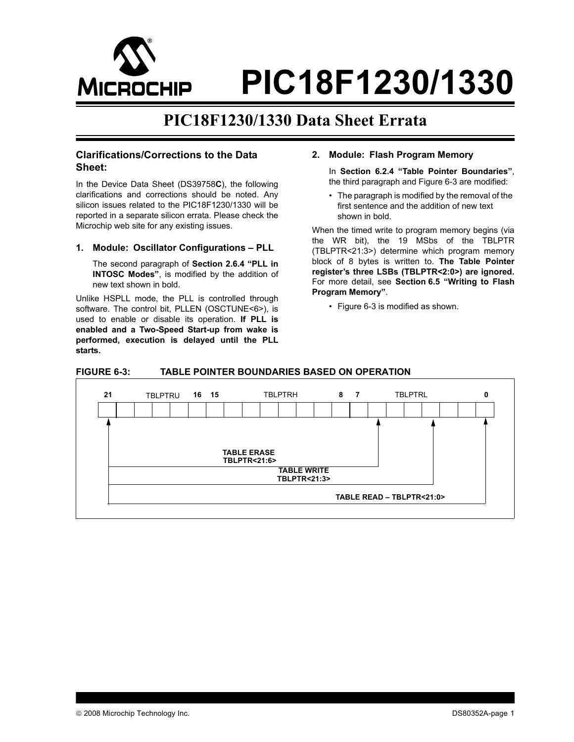

**PIC18F1230/1330**

# **PIC18F1230/1330 Data Sheet Errata**

# **Clarifications/Corrections to the Data Sheet:**

In the Device Data Sheet (DS39758**C**), the following clarifications and corrections should be noted. Any silicon issues related to the PIC18F1230/1330 will be reported in a separate silicon errata. Please check the Microchip web site for any existing issues.

# 1. Module: Oscillator Configurations - PLL

The second paragraph of Section 2.6.4 "PLL in **INTOSC Modes**", is modified by the addition of new text shown in bold.

Unlike HSPLL mode, the PLL is controlled through software. The control bit, PLLEN (OSCTUNE<6>), is used to enable or disable its operation. **If PLL is enabled and a Two-Speed Start-up from wake is performed, execution is delayed until the PLL starts.**

# **2. Module: Flash Program Memory**

In Section 6.2.4 "Table Pointer Boundaries", the third paragraph and [Figure 6-3](#page-0-0) are modified:

• The paragraph is modified by the removal of the first sentence and the addition of new text shown in bold.

When the timed write to program memory begins (via the WR bit), the 19 MSbs of the TBLPTR (TBLPTR<21:3>) determine which program memory block of 8 bytes is written to. **The Table Pointer registerís three LSBs (TBLPTR<2:0>) are ignored.** For more detail, see Section 6.5 "Writing to Flash Program Memory".

 $\cdot$  [Figure 6-3](#page-0-0) is modified as shown.

# <span id="page-0-0"></span>**FIGURE 6-3: TABLE POINTER BOUNDARIES BASED ON OPERATION**

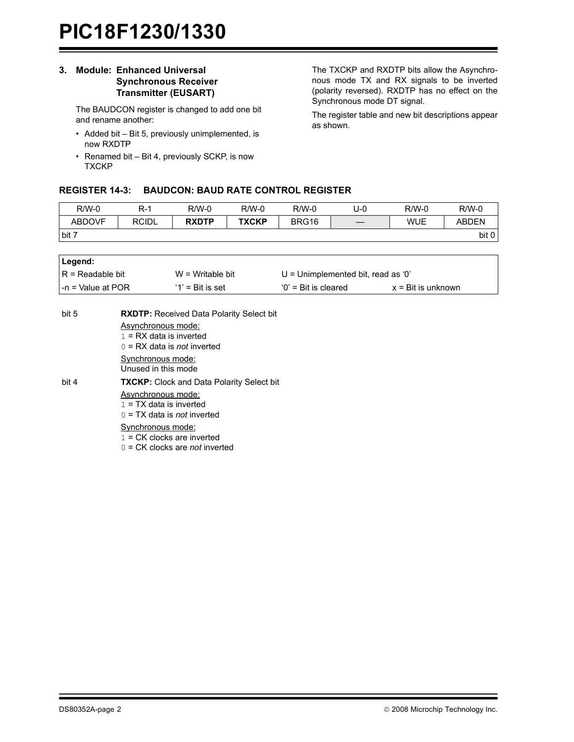# **3. Module: Enhanced Universal Synchronous Receiver Transmitter (EUSART)**

The BAUDCON register is changed to add one bit and rename another:

- $\cdot$  Added bit  $-$  Bit 5, previously unimplemented, is now RXDTP
- $\cdot$  Renamed bit  $-$  Bit 4, previously SCKP, is now **TXCKP**

The TXCKP and RXDTP bits allow the Asynchronous mode TX and RX signals to be inverted (polarity reversed). RXDTP has no effect on the Synchronous mode DT signal.

The register table and new bit descriptions appear as shown.

# **REGISTER 14-3: BAUDCON: BAUD RATE CONTROL REGISTER**

| $R/W-0$       | R-1          | $R/W-0$      | $R/W-0$      | $R/W-0$ | J-0 | $R/W-0$    | $R/W-0$      |
|---------------|--------------|--------------|--------------|---------|-----|------------|--------------|
| <b>ABDOVF</b> | <b>RCIDL</b> | <b>RXDTP</b> | <b>TXCKP</b> | BRG16   |     | <b>WUE</b> | <b>ABDEN</b> |
| bit 7         |              |              |              |         |     |            | bit 0        |

| Legend:            |                     |                                    |                             |
|--------------------|---------------------|------------------------------------|-----------------------------|
| IR = Readable bit  | $W = Writeable bit$ | U = Unimplemented bit, read as '0' |                             |
| l-n = Value at POR | $'1'$ = Bit is set  | $0'$ = Bit is cleared              | $x = \text{Bit}$ is unknown |

| bit 5 | <b>RXDTP:</b> Received Data Polarity Select bit<br>Asynchronous mode:<br>$1 = RX$ data is inverted<br>$0 = RX$ data is <i>not</i> inverted |
|-------|--------------------------------------------------------------------------------------------------------------------------------------------|
|       | Synchronous mode:<br>Unused in this mode                                                                                                   |
| bit 4 | <b>TXCKP:</b> Clock and Data Polarity Select bit                                                                                           |
|       | Asynchronous mode:<br>$1 = TX$ data is inverted<br>$0 = TX$ data is <i>not</i> inverted                                                    |
|       | Synchronous mode:<br>$1 = CK$ clocks are inverted<br>$0 = CK$ clocks are <i>not</i> inverted                                               |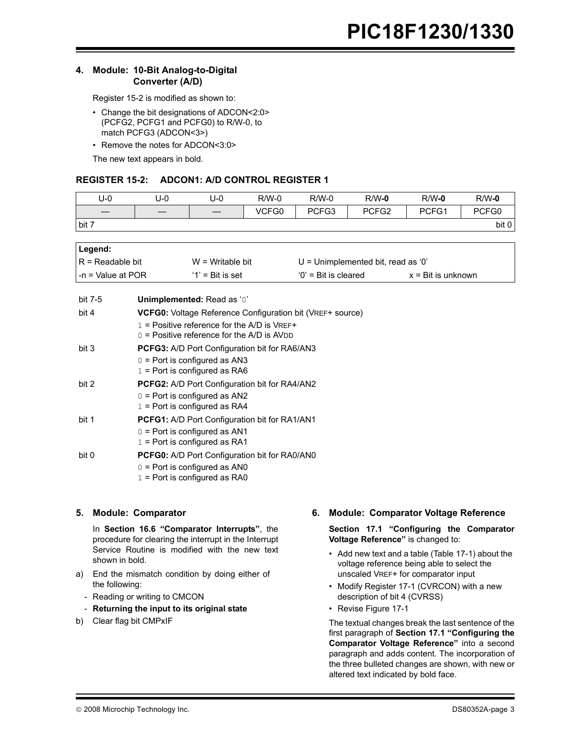# **4. Module: 10-Bit Analog-to-Digital Converter (A/D)**

[Register 15-2](#page-2-0) is modified as shown to:

- Change the bit designations of ADCON<2:0> (PCFG2, PCFG1 and PCFG0) to R/W-0, to match PCFG3 (ADCON<3>)
- Remove the notes for ADCON<3:0>

The new text appears in bold.

# <span id="page-2-0"></span>**REGISTER 15-2: ADCON1: A/D CONTROL REGISTER 1**

| U-0   | U-0 | U-0 | $R/W-0$ | $R/W-0$ | $R/W-0$           | $R/W-0$ | $R/W-0$ |
|-------|-----|-----|---------|---------|-------------------|---------|---------|
|       |     |     | VCFG0   | PCFG3   | PCFG <sub>2</sub> | PCFG1   | PCFG0   |
| bit 7 |     |     |         |         |                   |         | bit 0   |
|       |     |     |         |         |                   |         |         |

| ∣Legend:               |                     |                                      |                             |
|------------------------|---------------------|--------------------------------------|-----------------------------|
| $IR = Readable bit$    | $W = Writeable bit$ | $U =$ Unimplemented bit, read as '0' |                             |
| $l - n = Value$ at POR | $'1'$ = Bit is set  | $0'$ = Bit is cleared                | $x = \text{Bit}$ is unknown |

| bit 7-5 | <b>Unimplemented: Read as '0'</b>                                |
|---------|------------------------------------------------------------------|
| bit 4   | <b>VCFG0:</b> Voltage Reference Configuration bit (VREF+ source) |
|         | 1 = Positive reference for the A/D is $VREF+$                    |
|         | $0 =$ Positive reference for the A/D is AVDD                     |
| bit 3   | <b>PCFG3:</b> A/D Port Configuration bit for RA6/AN3             |
|         | $0 =$ Port is configured as AN3                                  |
|         | $1 =$ Port is configured as RA6                                  |
| bit 2   | <b>PCFG2:</b> A/D Port Configuration bit for RA4/AN2             |
|         | $0 =$ Port is configured as AN2                                  |
|         | $1 =$ Port is configured as RA4                                  |
| bit 1   | <b>PCFG1:</b> A/D Port Configuration bit for RA1/AN1             |
|         | $0 =$ Port is configured as AN1                                  |
|         | $1 =$ Port is configured as RA1                                  |
| bit 0   | <b>PCFG0:</b> A/D Port Configuration bit for RA0/AN0             |
|         | $0 =$ Port is configured as AN0                                  |
|         | $1 =$ Port is configured as RA0                                  |
|         |                                                                  |

# **5. Module: Comparator**

In **Section 16.6 "Comparator Interrupts"**, the procedure for clearing the interrupt in the Interrupt Service Routine is modified with the new text shown in bold.

- a) End the mismatch condition by doing either of the following:
	- Reading or writing to CMCON
	- **Returning the input to its original state**
- b) Clear flag bit CMPxIF

# **6. Module: Comparator Voltage Reference**

Section 17.1 "Configuring the Comparator **Voltage Reference**" is changed to:

- $\cdot$  Add new text and a table ([Table 17-1\)](#page-3-0) about the voltage reference being able to select the unscaled VREF+ for comparator input
- Modify [Register 17-1](#page-3-1) (CVRCON) with a new description of bit 4 (CVRSS)
- Revise [Figure 17-1](#page-4-0)

The textual changes break the last sentence of the first paragraph of Section 17.1 "Configuring the **Comparator Voltage Reference**" into a second paragraph and adds content. The incorporation of the three bulleted changes are shown, with new or altered text indicated by bold face.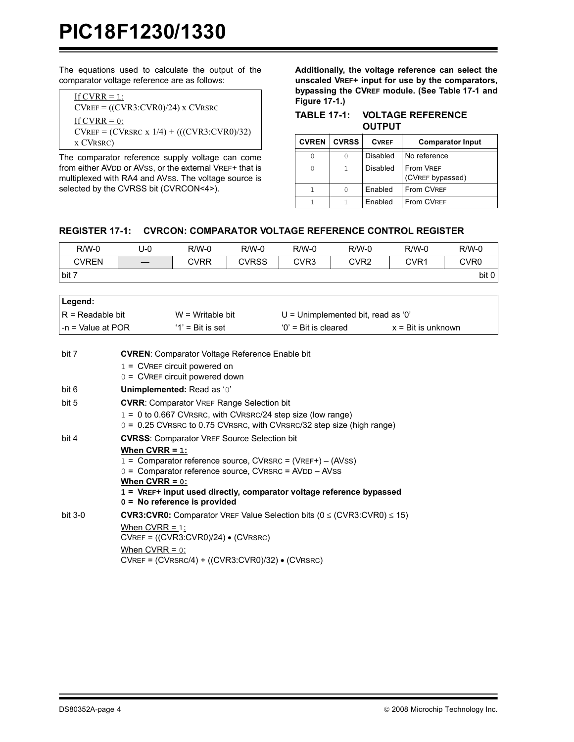The equations used to calculate the output of the comparator voltage reference are as follows:

| If CVRR $= 1$ :                              |
|----------------------------------------------|
| $CVREF = ((CVR3:CVR0)/24)$ x $CVRSRC$        |
| If CVRR $= 0$ :                              |
| $CVREF = (CVRSRC x 1/4) + (((CVR3:CVR0)/32)$ |
| x CVRSRC)                                    |

The comparator reference supply voltage can come from either AVDD or AVSS, or the external VREF+ that is multiplexed with RA4 and AVSS. The voltage source is selected by the CVRSS bit (CVRCON<4>).

**Additionally, the voltage reference can select the unscaled VREF+ input for use by the comparators, bypassing the CVREF module. (See [Table 17-1](#page-3-0) and [Figure 17-1.](#page-4-0))** 

<span id="page-3-0"></span>

| TABLE 17-1: VOLTAGE REFERENCE |
|-------------------------------|
| <b>OUTPUT</b>                 |

| <b>CVREN</b> | <b>CVRSS</b> | <b>CVREF</b> | <b>Comparator Input</b>              |
|--------------|--------------|--------------|--------------------------------------|
|              |              | Disabled     | No reference                         |
| 0            |              | Disabled     | <b>From VREF</b><br>(CVREF bypassed) |
|              |              | Enabled      | From CVREF                           |
|              |              | Enabled      | <b>From CVREF</b>                    |

# <span id="page-3-1"></span>**REGISTER 17-1: CVRCON: COMPARATOR VOLTAGE REFERENCE CONTROL REGISTER**

| $R/W-0$      | U-0 | $R/W-0$ | $R/W-0$      | $R/W-0$ | $R/W-0$ | $R/W-0$          | $R/W-0$          |
|--------------|-----|---------|--------------|---------|---------|------------------|------------------|
| <b>CVREN</b> |     | CVRR    | <b>CVRSS</b> | CVR3    | CVR2    | CVR <sub>1</sub> | CVR <sub>0</sub> |
| bit 7        |     |         |              |         |         |                  | bit 0            |
|              |     |         |              |         |         |                  |                  |

| Legend:                   |                     |                                      |                             |
|---------------------------|---------------------|--------------------------------------|-----------------------------|
| $IR = Readable bit$       | $W = Writeable bit$ | $U =$ Unimplemented bit, read as '0' |                             |
| $\vert$ -n = Value at POR | $'1'$ = Bit is set  | $0'$ = Bit is cleared                | $x = \text{Bit}$ is unknown |
|                           |                     |                                      |                             |

| bit 7     | <b>CVREN:</b> Comparator Voltage Reference Enable bit                                                                                                                                                                                                                       |
|-----------|-----------------------------------------------------------------------------------------------------------------------------------------------------------------------------------------------------------------------------------------------------------------------------|
|           | $1 =$ CVREF circuit powered on                                                                                                                                                                                                                                              |
|           | $0 =$ CVREF circuit powered down                                                                                                                                                                                                                                            |
| bit 6     | Unimplemented: Read as '0'                                                                                                                                                                                                                                                  |
| bit 5     | <b>CVRR:</b> Comparator VREF Range Selection bit                                                                                                                                                                                                                            |
|           | $1 = 0$ to 0.667 CVRSRC, with CVRSRC/24 step size (low range)<br>$0 = 0.25$ CVRSRC to 0.75 CVRSRC, with CVRSRC/32 step size (high range)                                                                                                                                    |
| bit 4     | <b>CVRSS:</b> Comparator VREF Source Selection bit                                                                                                                                                                                                                          |
|           | When $CVRR = 1$ :<br>1 = Comparator reference source, CVRSRC = (VREF+) – (AVSS)<br>$0 =$ Comparator reference source, CVRSRC = AVDD $-$ AVSS<br>When $CVRR = 0$ :<br>1 = VREF+ input used directly, comparator voltage reference bypassed<br>$0 =$ No reference is provided |
| $bit 3-0$ | <b>CVR3:CVR0:</b> Comparator VREF Value Selection bits ( $0 \leq$ (CVR3:CVR0) $\leq$ 15)                                                                                                                                                                                    |
|           | When CVRR = $1$ :                                                                                                                                                                                                                                                           |
|           | $CVREF = ((CVR3:CVR0)/24) \bullet (CVRSRC)$                                                                                                                                                                                                                                 |
|           | When $CVRR = 0$ :                                                                                                                                                                                                                                                           |
|           | $CVREF = (CVRSRC/4) + ((CVR3:CVR0)/32)$ (CVRSRC)                                                                                                                                                                                                                            |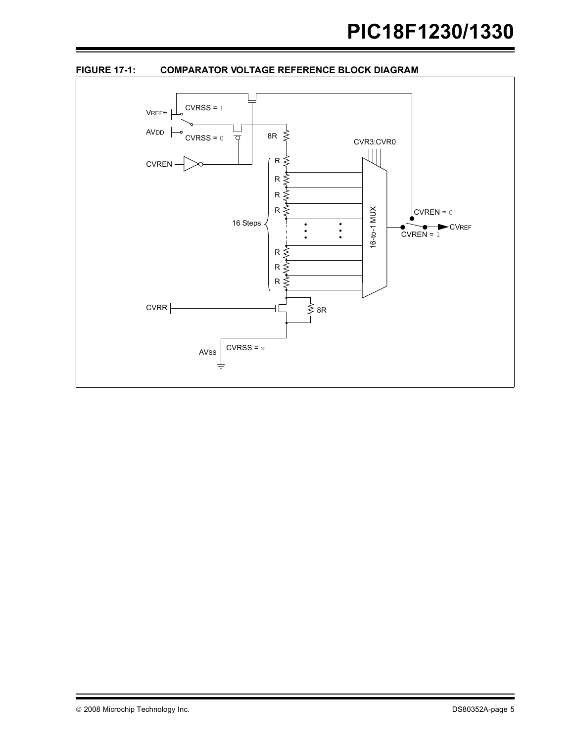<span id="page-4-0"></span>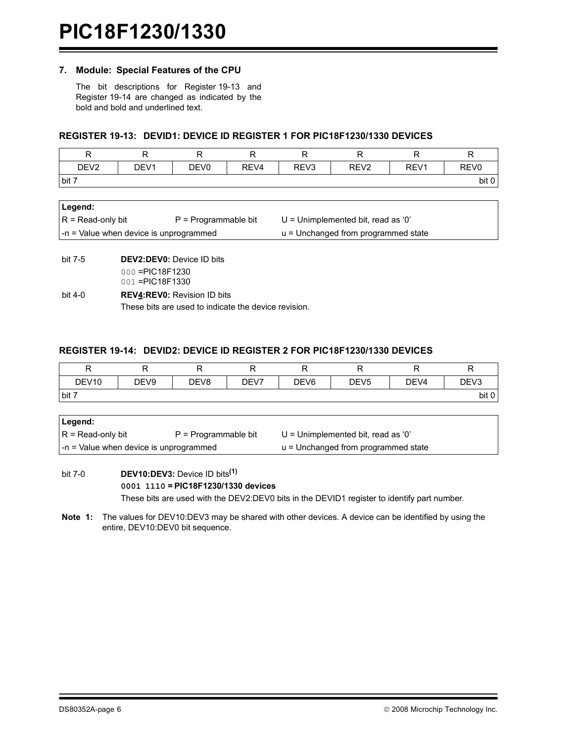### **7. Module: Special Features of the CPU**

The bit descriptions for [Register 19-13](#page-5-0) and [Register 19-14](#page-5-1) are changed as indicated by the bold and bold and underlined text.

## <span id="page-5-0"></span>**REGISTER 19-13: DEVID1: DEVICE ID REGISTER 1 FOR PIC18F1230/1330 DEVICES**

| R                                      | R                                | R                      | R                                   | R                                    | R                | R                | R                |  |  |
|----------------------------------------|----------------------------------|------------------------|-------------------------------------|--------------------------------------|------------------|------------------|------------------|--|--|
| DEV <sub>2</sub>                       | DEV <sub>1</sub>                 | DEV <sub>0</sub>       | REV <sub>4</sub>                    | REV <sub>3</sub>                     | REV <sub>2</sub> | REV <sub>1</sub> | REV <sub>0</sub> |  |  |
| bit 7                                  |                                  |                        |                                     |                                      |                  |                  | bit 0            |  |  |
|                                        |                                  |                        |                                     |                                      |                  |                  |                  |  |  |
| Legend:                                |                                  |                        |                                     |                                      |                  |                  |                  |  |  |
| $R = Read-only bit$                    |                                  | $P = Programmable bit$ |                                     | $U =$ Unimplemented bit, read as '0' |                  |                  |                  |  |  |
| -n = Value when device is unprogrammed |                                  |                        | u = Unchanged from programmed state |                                      |                  |                  |                  |  |  |
|                                        |                                  |                        |                                     |                                      |                  |                  |                  |  |  |
| bit 7-5                                | <b>DEV2:DEV0:</b> Device ID bits |                        |                                     |                                      |                  |                  |                  |  |  |
|                                        | $000 = PIC18F1230$               |                        |                                     |                                      |                  |                  |                  |  |  |
|                                        | 001 = PIC18F1330                 |                        |                                     |                                      |                  |                  |                  |  |  |

bit 4-0 **REV4:REV0:** Revision ID bits These bits are used to indicate the device revision.

# <span id="page-5-1"></span>**REGISTER 19-14: DEVID2: DEVICE ID REGISTER 2 FOR PIC18F1230/1330 DEVICES**

| R                                             | R                | R                | R                                    | R                | R                | R                | R                |  |
|-----------------------------------------------|------------------|------------------|--------------------------------------|------------------|------------------|------------------|------------------|--|
| DEV <sub>10</sub>                             | DEV <sub>9</sub> | DEV <sub>8</sub> | DEV7                                 | DEV <sub>6</sub> | DEV <sub>5</sub> | DEV <sub>4</sub> | DEV <sub>3</sub> |  |
| bit 7                                         |                  |                  |                                      |                  |                  |                  | bit 0            |  |
|                                               |                  |                  |                                      |                  |                  |                  |                  |  |
| Legend:                                       |                  |                  |                                      |                  |                  |                  |                  |  |
| $R = Read-only bit$<br>$P = Programmable bit$ |                  |                  | $U =$ Unimplemented bit, read as '0' |                  |                  |                  |                  |  |
| -n = Value when device is unprogrammed        |                  |                  | u = Unchanged from programmed state  |                  |                  |                  |                  |  |
|                                               |                  |                  |                                      |                  |                  |                  |                  |  |

bit 7-0 **DEV10:DEV3:** Device ID bits**(1) 0001 1110 = PIC18F1230/1330 devices** These bits are used with the DEV2:DEV0 bits in the DEVID1 register to identify part number.

**Note 1:** The values for DEV10:DEV3 may be shared with other devices. A device can be identified by using the entire, DEV10:DEV0 bit sequence.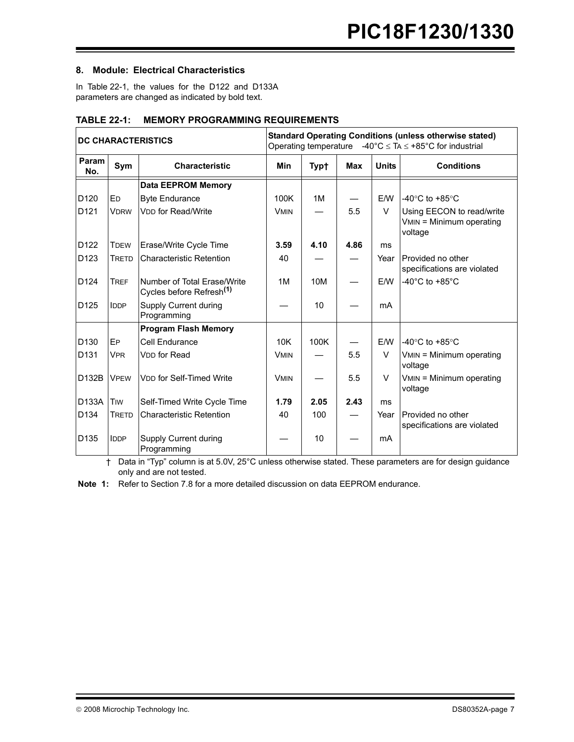# **8. Module: Electrical Characteristics**

In [Table 22-1](#page-6-0), the values for the D122 and D133A parameters are changed as indicated by bold text.

| <b>DC CHARACTERISTICS</b> |                       | <b>Standard Operating Conditions (unless otherwise stated)</b><br>Operating temperature $-40^{\circ}$ C $\leq$ TA $\leq$ +85°C for industrial |             |             |            |              |                                                                  |  |
|---------------------------|-----------------------|-----------------------------------------------------------------------------------------------------------------------------------------------|-------------|-------------|------------|--------------|------------------------------------------------------------------|--|
| Param<br>No.              | Sym                   | <b>Characteristic</b>                                                                                                                         | <b>Min</b>  | <b>Typt</b> | <b>Max</b> | <b>Units</b> | <b>Conditions</b>                                                |  |
|                           |                       | <b>Data EEPROM Memory</b>                                                                                                                     |             |             |            |              |                                                                  |  |
| D <sub>120</sub>          | <b>ED</b>             | <b>Byte Endurance</b>                                                                                                                         | 100K        | 1M          |            | E/W          | -40 $\degree$ C to +85 $\degree$ C                               |  |
| D121                      | <b>VDRW</b>           | <b>VDD</b> for Read/Write                                                                                                                     | <b>VMIN</b> |             | 5.5        | V            | Using EECON to read/write<br>VMIN = Minimum operating<br>voltage |  |
| D <sub>122</sub>          | <b>TDEW</b>           | Erase/Write Cycle Time                                                                                                                        | 3.59        | 4.10        | 4.86       | ms           |                                                                  |  |
| D <sub>123</sub>          | <b>TRETD</b>          | <b>Characteristic Retention</b>                                                                                                               | 40          |             |            | Year         | Provided no other<br>specifications are violated                 |  |
| D <sub>124</sub>          | <b>TREF</b>           | Number of Total Erase/Write<br>Cycles before Refresh <sup>(1)</sup>                                                                           | 1M          | 10M         |            | E/W          | -40 $^{\circ}$ C to +85 $^{\circ}$ C                             |  |
| D <sub>125</sub>          | <b>IDDP</b>           | Supply Current during<br>Programming                                                                                                          |             | 10          |            | mA           |                                                                  |  |
|                           |                       | <b>Program Flash Memory</b>                                                                                                                   |             |             |            |              |                                                                  |  |
| D <sub>130</sub>          | EP                    | Cell Endurance                                                                                                                                | 10K         | 100K        |            | E/W          | l-40°C to +85°C                                                  |  |
| D <sub>131</sub>          | <b>V<sub>PR</sub></b> | <b>VDD</b> for Read                                                                                                                           | <b>VMIN</b> |             | 5.5        | V            | VMIN = Minimum operating<br>voltage                              |  |
| D132B                     | <b>VPEW</b>           | <b>VDD for Self-Timed Write</b>                                                                                                               | <b>VMIN</b> |             | 5.5        | V            | VMIN = Minimum operating<br>voltage                              |  |
| D133A                     | TIW                   | Self-Timed Write Cycle Time                                                                                                                   | 1.79        | 2.05        | 2.43       | ms           |                                                                  |  |
| D134                      | <b>TRETD</b>          | <b>Characteristic Retention</b>                                                                                                               | 40          | 100         |            | Year         | Provided no other<br>specifications are violated                 |  |
| D <sub>135</sub>          | <b>IDDP</b>           | Supply Current during<br>Programming                                                                                                          |             | 10          |            | mA           |                                                                  |  |

# <span id="page-6-0"></span>**TABLE 22-1: MEMORY PROGRAMMING REQUIREMENTS**

 $\dagger$  Data in "Typ" column is at 5.0V, 25°C unless otherwise stated. These parameters are for design guidance only and are not tested.

**Note 1:** Refer to Section 7.8 for a more detailed discussion on data EEPROM endurance.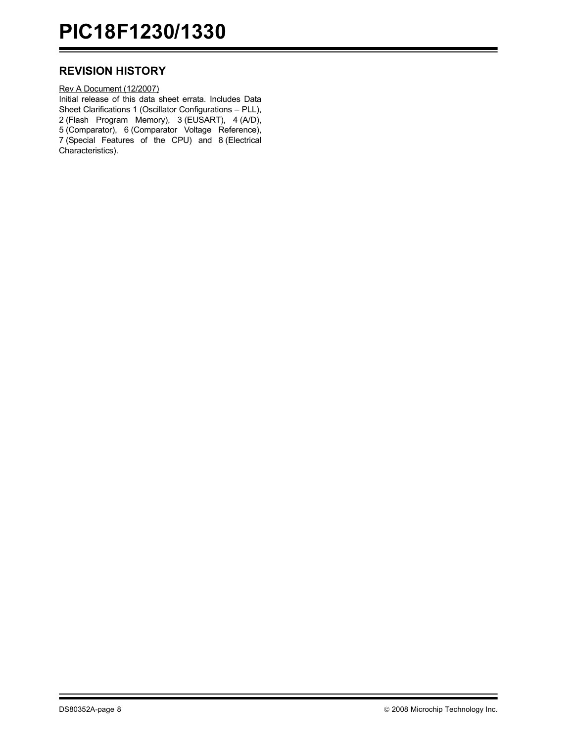# **REVISION HISTORY**

Rev A Document (12/2007) Initial release of this data sheet errata. Includes Data Sheet Clarifications 1 (Oscillator Configurations - PLL), 2 (Flash Program Memory), 3 (EUSART), 4 (A/D), 5 (Comparator), 6 (Comparator Voltage Reference), 7 (Special Features of the CPU) and 8 (Electrical Characteristics).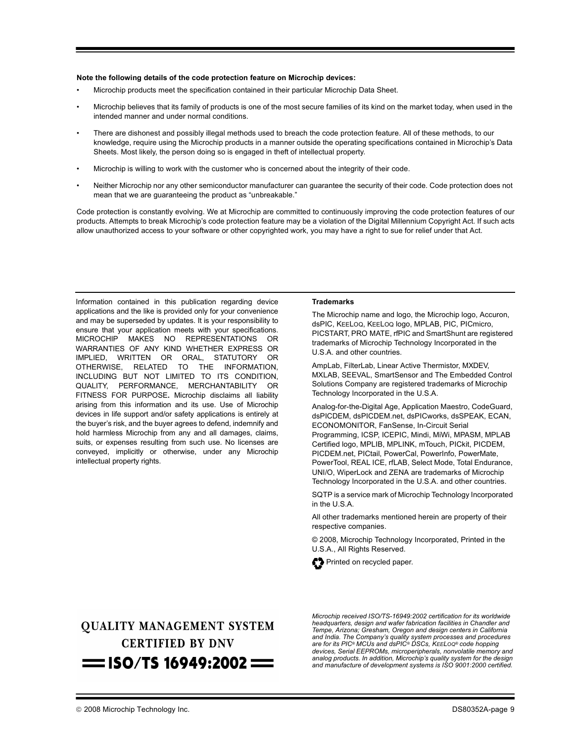#### **Note the following details of the code protection feature on Microchip devices:**

- Microchip products meet the specification contained in their particular Microchip Data Sheet.
- Microchip believes that its family of products is one of the most secure families of its kind on the market today, when used in the intended manner and under normal conditions.
- There are dishonest and possibly illegal methods used to breach the code protection feature. All of these methods, to our knowledge, require using the Microchip products in a manner outside the operating specifications contained in Microchipís Data Sheets. Most likely, the person doing so is engaged in theft of intellectual property.
- Microchip is willing to work with the customer who is concerned about the integrity of their code.
- Neither Microchip nor any other semiconductor manufacturer can guarantee the security of their code. Code protection does not mean that we are guaranteeing the product as "unbreakable."

Code protection is constantly evolving. We at Microchip are committed to continuously improving the code protection features of our products. Attempts to break Microchip's code protection feature may be a violation of the Digital Millennium Copyright Act. If such acts allow unauthorized access to your software or other copyrighted work, you may have a right to sue for relief under that Act.

Information contained in this publication regarding device applications and the like is provided only for your convenience and may be superseded by updates. It is your responsibility to ensure that your application meets with your specifications. MICROCHIP MAKES NO REPRESENTATIONS OR WARRANTIES OF ANY KIND WHETHER EXPRESS OR IMPLIED, WRITTEN OR ORAL, STATUTORY OR OTHERWISE, RELATED TO THE INFORMATION, INCLUDING BUT NOT LIMITED TO ITS CONDITION, QUALITY, PERFORMANCE, MERCHANTABILITY OR FITNESS FOR PURPOSE**.** Microchip disclaims all liability arising from this information and its use. Use of Microchip devices in life support and/or safety applications is entirely at the buyer's risk, and the buyer agrees to defend, indemnify and hold harmless Microchip from any and all damages, claims, suits, or expenses resulting from such use. No licenses are conveyed, implicitly or otherwise, under any Microchip intellectual property rights.

#### **Trademarks**

The Microchip name and logo, the Microchip logo, Accuron, dsPIC, KEELOQ, KEELOQ logo, MPLAB, PIC, PICmicro, PICSTART, PRO MATE, rfPIC and SmartShunt are registered trademarks of Microchip Technology Incorporated in the U.S.A. and other countries.

AmpLab, FilterLab, Linear Active Thermistor, MXDEV, MXLAB, SEEVAL, SmartSensor and The Embedded Control Solutions Company are registered trademarks of Microchip Technology Incorporated in the U.S.A.

Analog-for-the-Digital Age, Application Maestro, CodeGuard, dsPICDEM, dsPICDEM.net, dsPICworks, dsSPEAK, ECAN, ECONOMONITOR, FanSense, In-Circuit Serial Programming, ICSP, ICEPIC, Mindi, MiWi, MPASM, MPLAB Certified logo, MPLIB, MPLINK, mTouch, PICkit, PICDEM, PICDEM.net, PICtail, PowerCal, PowerInfo, PowerMate, PowerTool, REAL ICE, rfLAB, Select Mode, Total Endurance, UNI/O, WiperLock and ZENA are trademarks of Microchip Technology Incorporated in the U.S.A. and other countries.

SQTP is a service mark of Microchip Technology Incorporated in the U.S.A.

All other trademarks mentioned herein are property of their respective companies.

© 2008, Microchip Technology Incorporated, Printed in the U.S.A., All Rights Reserved.



# **QUALITY MANAGEMENT SYSTEM CERTIFIED BY DNV**  $=$  ISO/TS 16949:2002  $=$

*Microchip received ISO/TS-16949:2002 certification for its worldwide headquarters, design and wafer fabrication facilities in Chandler and Tempe, Arizona; Gresham, Oregon and design centers in California and India. The Company's quality system processes and procedures<br>are for its PIC® MCUs and dsPIC® DSCs, KEELoQ® code hopping devices, Serial EEPROMs, microperipherals, nonvolatile memory and analog products. In addition, Microchipís quality system for the design and manufacture of development systems is ISO 9001:2000 certified.*